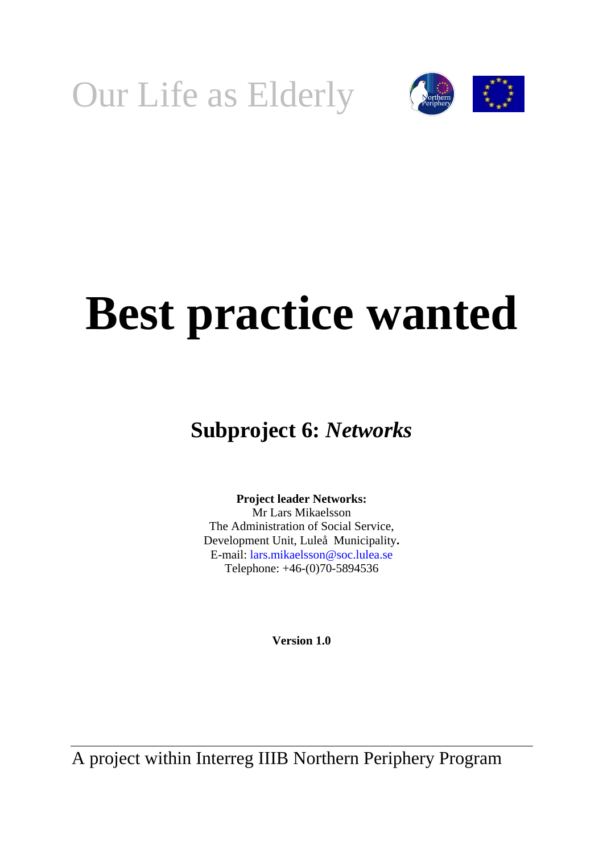



# **Best practice wanted**

## **Subproject 6:** *Networks*

**Project leader Networks:**  Mr Lars Mikaelsson The Administration of Social Service, Development Unit, Luleå Municipality**.**  E-mail: lars.mikaelsson@soc.lulea.se Telephone: +46-(0)70-5894536

**Version 1.0**

A project within Interreg IIIB Northern Periphery Program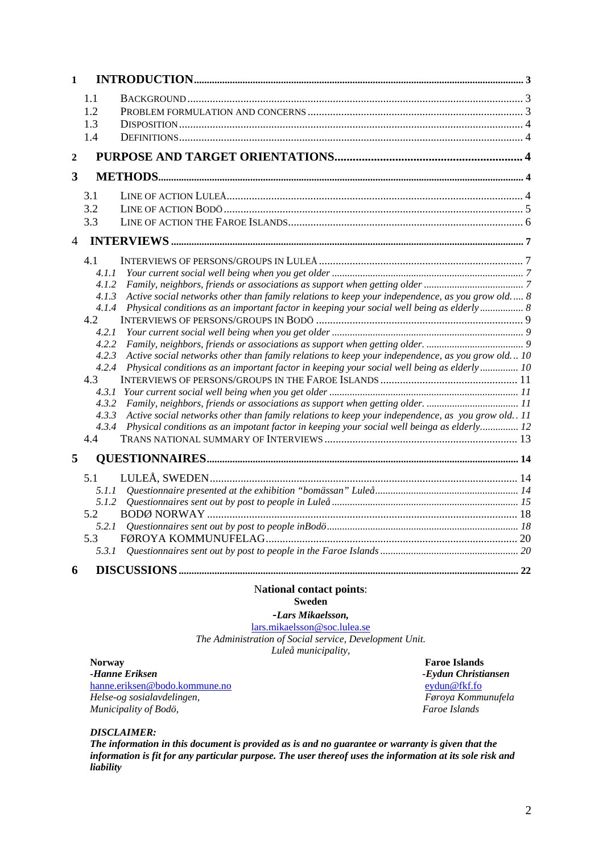| 1              |                                                                                                                                                                                                                                                                                                                                                                                                                                                                                                                                                                                                                                                                                                                                          |  |  |  |
|----------------|------------------------------------------------------------------------------------------------------------------------------------------------------------------------------------------------------------------------------------------------------------------------------------------------------------------------------------------------------------------------------------------------------------------------------------------------------------------------------------------------------------------------------------------------------------------------------------------------------------------------------------------------------------------------------------------------------------------------------------------|--|--|--|
|                | 1.1<br>1.2<br>1.3<br>1.4                                                                                                                                                                                                                                                                                                                                                                                                                                                                                                                                                                                                                                                                                                                 |  |  |  |
| $\overline{2}$ |                                                                                                                                                                                                                                                                                                                                                                                                                                                                                                                                                                                                                                                                                                                                          |  |  |  |
| 3              |                                                                                                                                                                                                                                                                                                                                                                                                                                                                                                                                                                                                                                                                                                                                          |  |  |  |
|                | 3.1<br>3.2<br>3.3                                                                                                                                                                                                                                                                                                                                                                                                                                                                                                                                                                                                                                                                                                                        |  |  |  |
| 4              |                                                                                                                                                                                                                                                                                                                                                                                                                                                                                                                                                                                                                                                                                                                                          |  |  |  |
|                | 4.1<br>4.1.1<br>4.1.2<br>Active social networks other than family relations to keep your independence, as you grow old 8<br>4.1.3<br>Physical conditions as an important factor in keeping your social well being as elderly 8<br>4.1.4<br>4.2<br>4.2.1<br>4.2.2<br>Active social networks other than family relations to keep your independence, as you grow old 10<br>4.2.3<br>Physical conditions as an important factor in keeping your social well being as elderly 10<br>4.2.4<br>4.3<br>4.3.1<br>4.3.2<br>Active social networks other than family relations to keep your independence, as you grow old 11<br>4.3.3<br>Physical conditions as an impotant factor in keeping your social well beinga as elderly 12<br>4.3.4<br>4.4 |  |  |  |
| 5              |                                                                                                                                                                                                                                                                                                                                                                                                                                                                                                                                                                                                                                                                                                                                          |  |  |  |
|                | 5.1<br>5.1.1<br>5.1.2<br>5.2<br>5.2.1<br>5.3<br>5.3.1                                                                                                                                                                                                                                                                                                                                                                                                                                                                                                                                                                                                                                                                                    |  |  |  |
| 6              |                                                                                                                                                                                                                                                                                                                                                                                                                                                                                                                                                                                                                                                                                                                                          |  |  |  |

#### N**ational contact points**: **Sweden**

*-Lars Mikaelsson,* 

[lars.mikaelsson@soc.lulea.se](mailto:lars.mikaelsson@soc.lulea.se)

*The Administration of Social service, Development Unit. Luleå municipality,*

**Norway Faroe Islands**<br> **Faroe Islands**<br> **Faroe Islands**<br> **Faroe Islands**<br> **Faroe Islands** [hanne.eriksen@bodo.kommune.no](mailto:hanne.eriksen@bodo.kommune.no)eydun@fkf.fo *Helse-og sosialavdelingen,* 

*-Eydun Christiansen*<br>eydun@fkf.fo *Municipality of Bodö, Faroe Islands*

*DISCLAIMER:* 

*The information in this document is provided as is and no guarantee or warranty is given that the information is fit for any particular purpose. The user thereof uses the information at its sole risk and liability*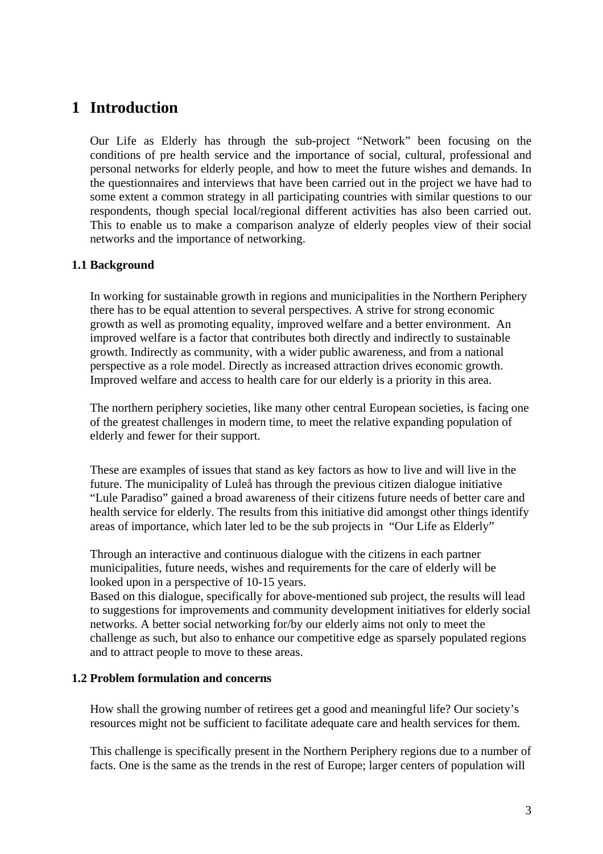## <span id="page-2-0"></span>**1 Introduction**

Our Life as Elderly has through the sub-project "Network" been focusing on the conditions of pre health service and the importance of social, cultural, professional and personal networks for elderly people, and how to meet the future wishes and demands. In the questionnaires and interviews that have been carried out in the project we have had to some extent a common strategy in all participating countries with similar questions to our respondents, though special local/regional different activities has also been carried out. This to enable us to make a comparison analyze of elderly peoples view of their social networks and the importance of networking.

#### **1.1 Background**

In working for sustainable growth in regions and municipalities in the Northern Periphery there has to be equal attention to several perspectives. A strive for strong economic growth as well as promoting equality, improved welfare and a better environment. An improved welfare is a factor that contributes both directly and indirectly to sustainable growth. Indirectly as community, with a wider public awareness, and from a national perspective as a role model. Directly as increased attraction drives economic growth. Improved welfare and access to health care for our elderly is a priority in this area.

The northern periphery societies, like many other central European societies, is facing one of the greatest challenges in modern time, to meet the relative expanding population of elderly and fewer for their support.

These are examples of issues that stand as key factors as how to live and will live in the future. The municipality of Luleå has through the previous citizen dialogue initiative "Lule Paradiso" gained a broad awareness of their citizens future needs of better care and health service for elderly. The results from this initiative did amongst other things identify areas of importance, which later led to be the sub projects in "Our Life as Elderly"

Through an interactive and continuous dialogue with the citizens in each partner municipalities, future needs, wishes and requirements for the care of elderly will be looked upon in a perspective of 10-15 years.

Based on this dialogue, specifically for above-mentioned sub project, the results will lead to suggestions for improvements and community development initiatives for elderly social networks. A better social networking for/by our elderly aims not only to meet the challenge as such, but also to enhance our competitive edge as sparsely populated regions and to attract people to move to these areas.

#### **1.2 Problem formulation and concerns**

How shall the growing number of retirees get a good and meaningful life? Our society's resources might not be sufficient to facilitate adequate care and health services for them.

This challenge is specifically present in the Northern Periphery regions due to a number of facts. One is the same as the trends in the rest of Europe; larger centers of population will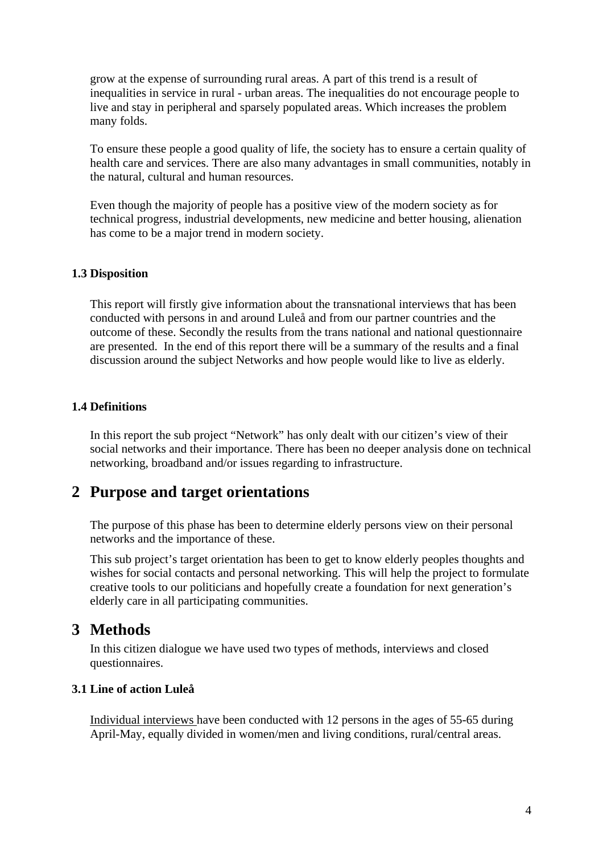<span id="page-3-0"></span>grow at the expense of surrounding rural areas. A part of this trend is a result of inequalities in service in rural - urban areas. The inequalities do not encourage people to live and stay in peripheral and sparsely populated areas. Which increases the problem many folds.

To ensure these people a good quality of life, the society has to ensure a certain quality of health care and services. There are also many advantages in small communities, notably in the natural, cultural and human resources.

Even though the majority of people has a positive view of the modern society as for technical progress, industrial developments, new medicine and better housing, alienation has come to be a major trend in modern society.

#### **1.3 Disposition**

This report will firstly give information about the transnational interviews that has been conducted with persons in and around Luleå and from our partner countries and the outcome of these. Secondly the results from the trans national and national questionnaire are presented. In the end of this report there will be a summary of the results and a final discussion around the subject Networks and how people would like to live as elderly.

#### **1.4 Definitions**

In this report the sub project "Network" has only dealt with our citizen's view of their social networks and their importance. There has been no deeper analysis done on technical networking, broadband and/or issues regarding to infrastructure.

## **2 Purpose and target orientations**

The purpose of this phase has been to determine elderly persons view on their personal networks and the importance of these.

This sub project's target orientation has been to get to know elderly peoples thoughts and wishes for social contacts and personal networking. This will help the project to formulate creative tools to our politicians and hopefully create a foundation for next generation's elderly care in all participating communities.

## **3 Methods**

In this citizen dialogue we have used two types of methods, interviews and closed questionnaires.

#### **3.1 Line of action Luleå**

Individual interviews have been conducted with 12 persons in the ages of 55-65 during April-May, equally divided in women/men and living conditions, rural/central areas.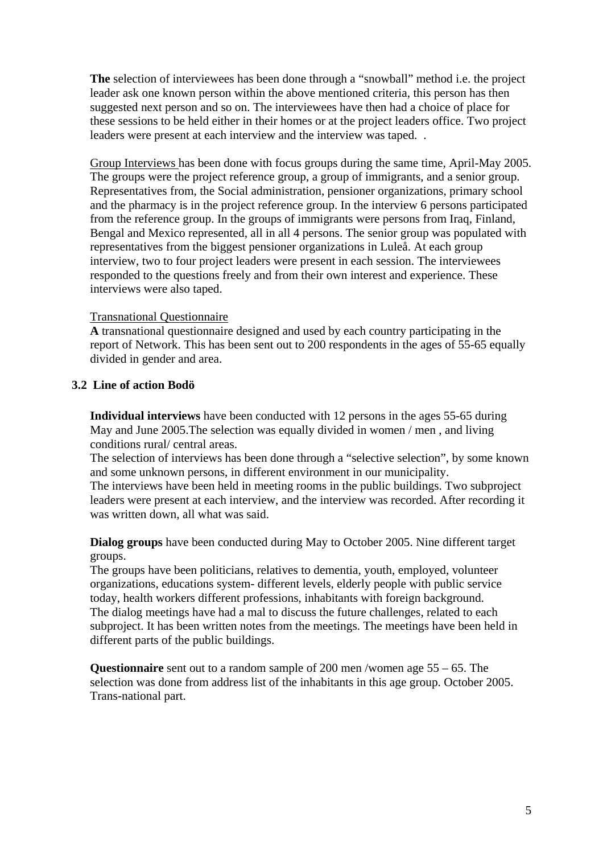<span id="page-4-0"></span>**The** selection of interviewees has been done through a "snowball" method i.e. the project leader ask one known person within the above mentioned criteria, this person has then suggested next person and so on. The interviewees have then had a choice of place for these sessions to be held either in their homes or at the project leaders office. Two project leaders were present at each interview and the interview was taped. .

Group Interviews has been done with focus groups during the same time, April-May 2005. The groups were the project reference group, a group of immigrants, and a senior group. Representatives from, the Social administration, pensioner organizations, primary school and the pharmacy is in the project reference group. In the interview 6 persons participated from the reference group. In the groups of immigrants were persons from Iraq, Finland, Bengal and Mexico represented, all in all 4 persons. The senior group was populated with representatives from the biggest pensioner organizations in Luleå. At each group interview, two to four project leaders were present in each session. The interviewees responded to the questions freely and from their own interest and experience. These interviews were also taped.

#### Transnational Questionnaire

**A** transnational questionnaire designed and used by each country participating in the report of Network. This has been sent out to 200 respondents in the ages of 55-65 equally divided in gender and area.

#### **3.2 Line of action Bodö**

**Individual interviews** have been conducted with 12 persons in the ages 55-65 during May and June 2005.The selection was equally divided in women / men , and living conditions rural/ central areas.

The selection of interviews has been done through a "selective selection", by some known and some unknown persons, in different environment in our municipality.

The interviews have been held in meeting rooms in the public buildings. Two subproject leaders were present at each interview, and the interview was recorded. After recording it was written down, all what was said.

**Dialog groups** have been conducted during May to October 2005. Nine different target groups.

The groups have been politicians, relatives to dementia, youth, employed, volunteer organizations, educations system- different levels, elderly people with public service today, health workers different professions, inhabitants with foreign background. The dialog meetings have had a mal to discuss the future challenges, related to each subproject. It has been written notes from the meetings. The meetings have been held in different parts of the public buildings.

**Questionnaire** sent out to a random sample of 200 men /women age 55 – 65. The selection was done from address list of the inhabitants in this age group. October 2005. Trans-national part.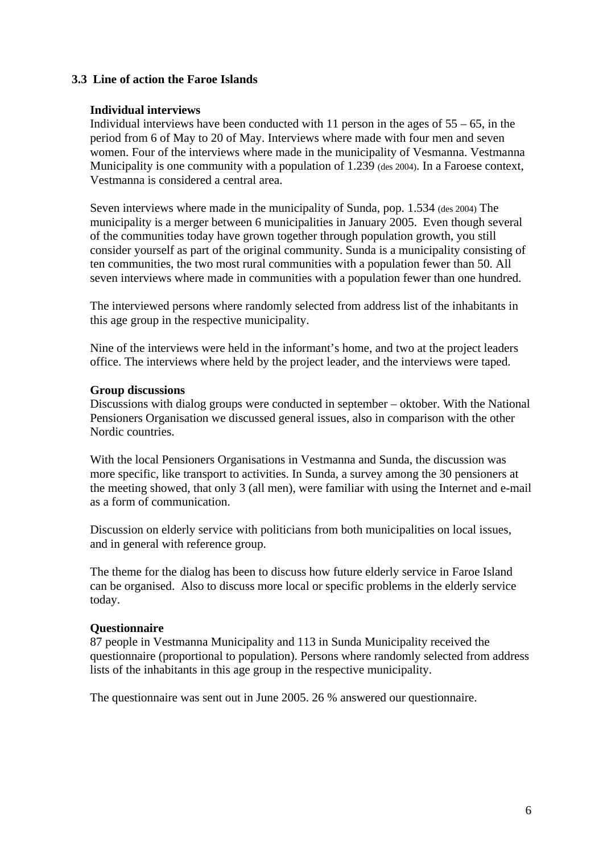#### <span id="page-5-0"></span>**3.3 Line of action the Faroe Islands**

#### **Individual interviews**

Individual interviews have been conducted with 11 person in the ages of  $55 - 65$ , in the period from 6 of May to 20 of May. Interviews where made with four men and seven women. Four of the interviews where made in the municipality of Vesmanna. Vestmanna Municipality is one community with a population of 1.239 (des 2004). In a Faroese context, Vestmanna is considered a central area.

Seven interviews where made in the municipality of Sunda, pop. 1.534 (des 2004) The municipality is a merger between 6 municipalities in January 2005. Even though several of the communities today have grown together through population growth, you still consider yourself as part of the original community. Sunda is a municipality consisting of ten communities, the two most rural communities with a population fewer than 50. All seven interviews where made in communities with a population fewer than one hundred.

The interviewed persons where randomly selected from address list of the inhabitants in this age group in the respective municipality.

Nine of the interviews were held in the informant's home, and two at the project leaders office. The interviews where held by the project leader, and the interviews were taped.

#### **Group discussions**

Discussions with dialog groups were conducted in september – oktober. With the National Pensioners Organisation we discussed general issues, also in comparison with the other Nordic countries.

With the local Pensioners Organisations in Vestmanna and Sunda, the discussion was more specific, like transport to activities. In Sunda, a survey among the 30 pensioners at the meeting showed, that only 3 (all men), were familiar with using the Internet and e-mail as a form of communication.

Discussion on elderly service with politicians from both municipalities on local issues, and in general with reference group.

The theme for the dialog has been to discuss how future elderly service in Faroe Island can be organised. Also to discuss more local or specific problems in the elderly service today.

#### **Questionnaire**

87 people in Vestmanna Municipality and 113 in Sunda Municipality received the questionnaire (proportional to population). Persons where randomly selected from address lists of the inhabitants in this age group in the respective municipality.

The questionnaire was sent out in June 2005. 26 % answered our questionnaire.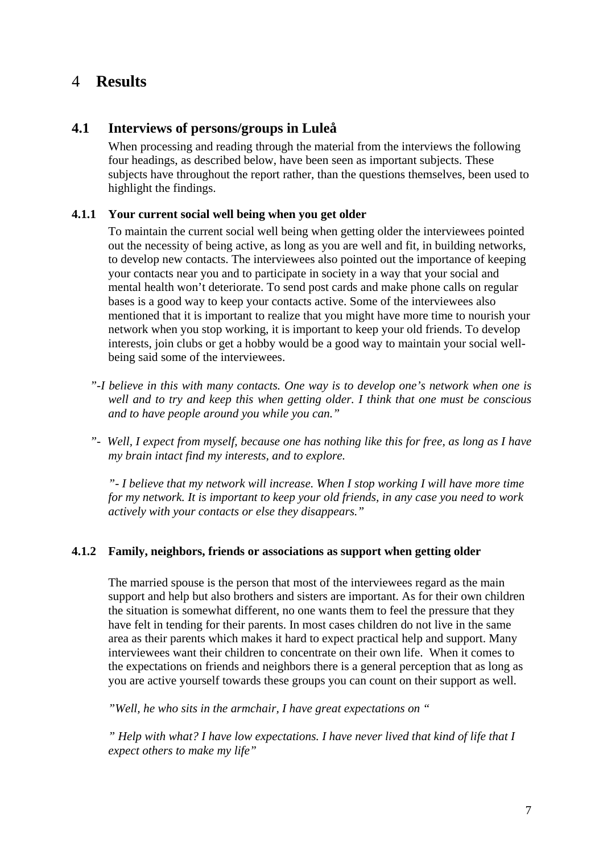## <span id="page-6-0"></span>4 **Results**

#### **4.1 Interviews of persons/groups in Luleå**

When processing and reading through the material from the interviews the following four headings, as described below, have been seen as important subjects. These subjects have throughout the report rather, than the questions themselves, been used to highlight the findings.

#### **4.1.1 Your current social well being when you get older**

To maintain the current social well being when getting older the interviewees pointed out the necessity of being active, as long as you are well and fit, in building networks, to develop new contacts. The interviewees also pointed out the importance of keeping your contacts near you and to participate in society in a way that your social and mental health won't deteriorate. To send post cards and make phone calls on regular bases is a good way to keep your contacts active. Some of the interviewees also mentioned that it is important to realize that you might have more time to nourish your network when you stop working, it is important to keep your old friends. To develop interests, join clubs or get a hobby would be a good way to maintain your social wellbeing said some of the interviewees.

- *"-I believe in this with many contacts. One way is to develop one's network when one is well and to try and keep this when getting older. I think that one must be conscious and to have people around you while you can."*
- *"- Well, I expect from myself, because one has nothing like this for free, as long as I have my brain intact find my interests, and to explore.*

*"- I believe that my network will increase. When I stop working I will have more time for my network. It is important to keep your old friends, in any case you need to work actively with your contacts or else they disappears."* 

#### **4.1.2 Family, neighbors, friends or associations as support when getting older**

The married spouse is the person that most of the interviewees regard as the main support and help but also brothers and sisters are important. As for their own children the situation is somewhat different, no one wants them to feel the pressure that they have felt in tending for their parents. In most cases children do not live in the same area as their parents which makes it hard to expect practical help and support. Many interviewees want their children to concentrate on their own life. When it comes to the expectations on friends and neighbors there is a general perception that as long as you are active yourself towards these groups you can count on their support as well.

*"Well, he who sits in the armchair, I have great expectations on "* 

*" Help with what? I have low expectations. I have never lived that kind of life that I expect others to make my life"*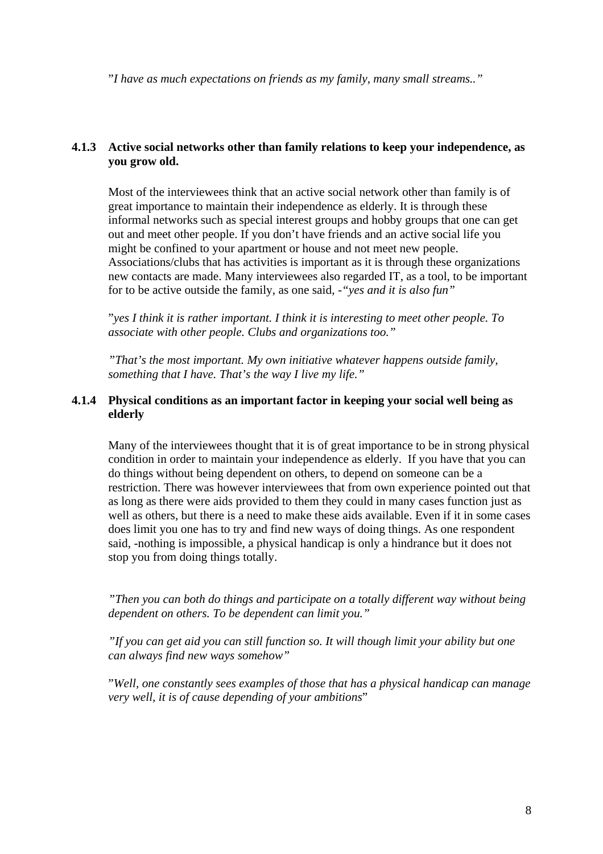<span id="page-7-0"></span>"*I have as much expectations on friends as my family, many small streams.."* 

#### **4.1.3 Active social networks other than family relations to keep your independence, as you grow old.**

Most of the interviewees think that an active social network other than family is of great importance to maintain their independence as elderly. It is through these informal networks such as special interest groups and hobby groups that one can get out and meet other people. If you don't have friends and an active social life you might be confined to your apartment or house and not meet new people. Associations/clubs that has activities is important as it is through these organizations new contacts are made. Many interviewees also regarded IT, as a tool, to be important for to be active outside the family, as one said, *-"yes and it is also fun"*

"*yes I think it is rather important. I think it is interesting to meet other people. To associate with other people. Clubs and organizations too."* 

*"That's the most important. My own initiative whatever happens outside family, something that I have. That's the way I live my life."*

#### **4.1.4 Physical conditions as an important factor in keeping your social well being as elderly**

Many of the interviewees thought that it is of great importance to be in strong physical condition in order to maintain your independence as elderly. If you have that you can do things without being dependent on others, to depend on someone can be a restriction. There was however interviewees that from own experience pointed out that as long as there were aids provided to them they could in many cases function just as well as others, but there is a need to make these aids available. Even if it in some cases does limit you one has to try and find new ways of doing things. As one respondent said, -nothing is impossible, a physical handicap is only a hindrance but it does not stop you from doing things totally.

*"Then you can both do things and participate on a totally different way without being dependent on others. To be dependent can limit you."* 

*"If you can get aid you can still function so. It will though limit your ability but one can always find new ways somehow"* 

"*Well, one constantly sees examples of those that has a physical handicap can manage very well, it is of cause depending of your ambitions*"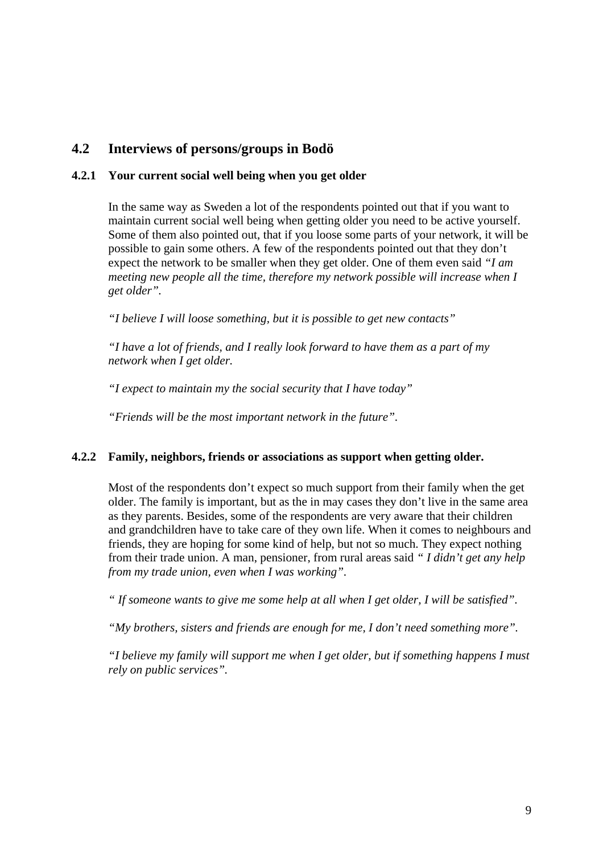## <span id="page-8-0"></span>**4.2 Interviews of persons/groups in Bodö**

#### **4.2.1 Your current social well being when you get older**

In the same way as Sweden a lot of the respondents pointed out that if you want to maintain current social well being when getting older you need to be active yourself. Some of them also pointed out, that if you loose some parts of your network, it will be possible to gain some others. A few of the respondents pointed out that they don't expect the network to be smaller when they get older. One of them even said *"I am meeting new people all the time, therefore my network possible will increase when I get older".* 

*"I believe I will loose something, but it is possible to get new contacts"* 

*"I have a lot of friends, and I really look forward to have them as a part of my network when I get older.* 

*"I expect to maintain my the social security that I have today"*

*"Friends will be the most important network in the future".*

#### **4.2.2 Family, neighbors, friends or associations as support when getting older.**

Most of the respondents don't expect so much support from their family when the get older. The family is important, but as the in may cases they don't live in the same area as they parents. Besides, some of the respondents are very aware that their children and grandchildren have to take care of they own life. When it comes to neighbours and friends, they are hoping for some kind of help, but not so much. They expect nothing from their trade union. A man, pensioner, from rural areas said *" I didn't get any help from my trade union, even when I was working".* 

*" If someone wants to give me some help at all when I get older, I will be satisfied".* 

*"My brothers, sisters and friends are enough for me, I don't need something more".* 

*"I believe my family will support me when I get older, but if something happens I must rely on public services".*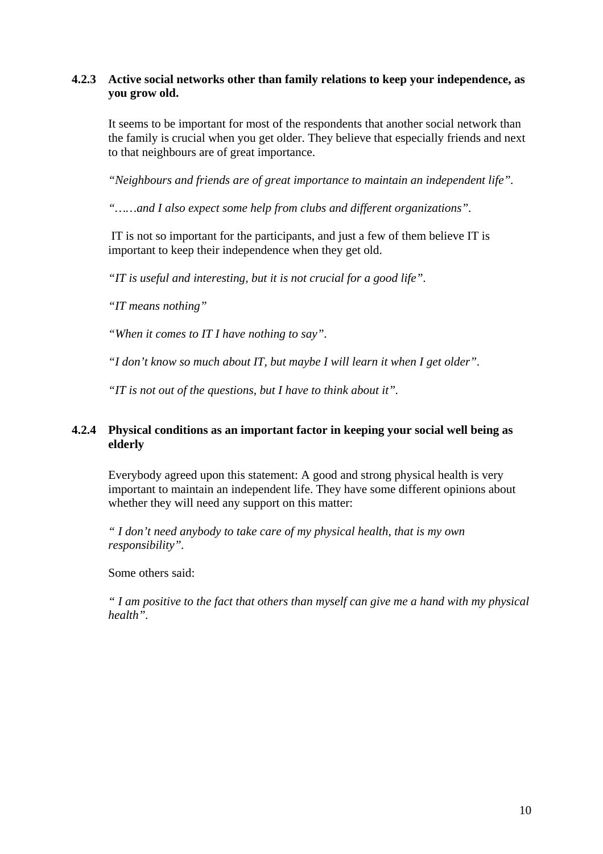#### <span id="page-9-0"></span>**4.2.3 Active social networks other than family relations to keep your independence, as you grow old.**

It seems to be important for most of the respondents that another social network than the family is crucial when you get older. They believe that especially friends and next to that neighbours are of great importance.

*"Neighbours and friends are of great importance to maintain an independent life".* 

*"……and I also expect some help from clubs and different organizations".* 

IT is not so important for the participants, and just a few of them believe IT is important to keep their independence when they get old.

*"IT is useful and interesting, but it is not crucial for a good life".* 

*"IT means nothing"*

*"When it comes to IT I have nothing to say".* 

*"I don't know so much about IT, but maybe I will learn it when I get older".* 

*"IT is not out of the questions, but I have to think about it".* 

#### **4.2.4 Physical conditions as an important factor in keeping your social well being as elderly**

Everybody agreed upon this statement: A good and strong physical health is very important to maintain an independent life. They have some different opinions about whether they will need any support on this matter:

*" I don't need anybody to take care of my physical health, that is my own responsibility".* 

Some others said:

*" I am positive to the fact that others than myself can give me a hand with my physical health".*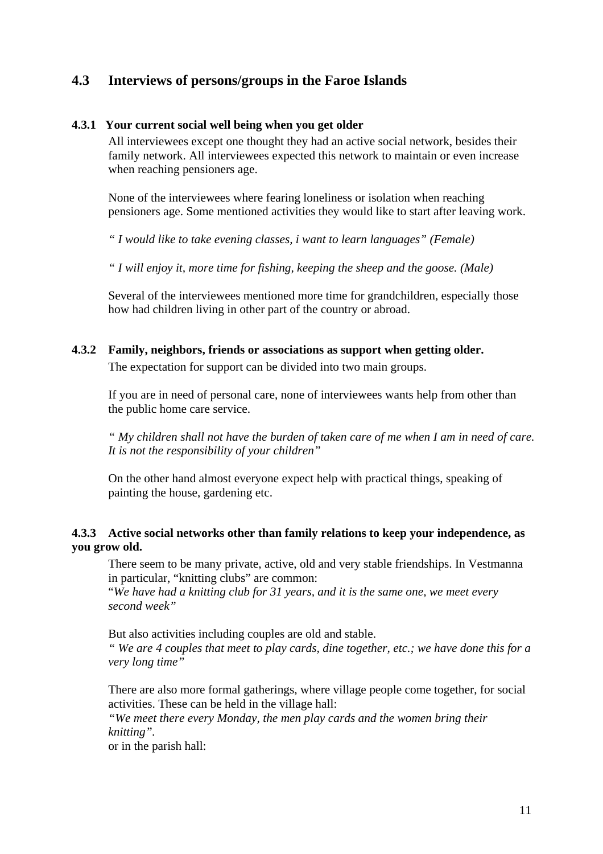## <span id="page-10-0"></span>**4.3 Interviews of persons/groups in the Faroe Islands**

#### **4.3.1 Your current social well being when you get older**

All interviewees except one thought they had an active social network, besides their family network. All interviewees expected this network to maintain or even increase when reaching pensioners age.

None of the interviewees where fearing loneliness or isolation when reaching pensioners age. Some mentioned activities they would like to start after leaving work.

*" I would like to take evening classes, i want to learn languages" (Female)* 

*" I will enjoy it, more time for fishing, keeping the sheep and the goose. (Male)*

Several of the interviewees mentioned more time for grandchildren, especially those how had children living in other part of the country or abroad.

#### **4.3.2 Family, neighbors, friends or associations as support when getting older.**

The expectation for support can be divided into two main groups.

If you are in need of personal care, none of interviewees wants help from other than the public home care service.

*" My children shall not have the burden of taken care of me when I am in need of care. It is not the responsibility of your children"* 

On the other hand almost everyone expect help with practical things, speaking of painting the house, gardening etc.

#### **4.3.3 Active social networks other than family relations to keep your independence, as you grow old.**

There seem to be many private, active, old and very stable friendships. In Vestmanna in particular, "knitting clubs" are common:

"*We have had a knitting club for 31 years, and it is the same one, we meet every second week"* 

But also activities including couples are old and stable.

*" We are 4 couples that meet to play cards, dine together, etc.; we have done this for a very long time"* 

There are also more formal gatherings, where village people come together, for social activities. These can be held in the village hall:

*"We meet there every Monday, the men play cards and the women bring their knitting".* 

or in the parish hall: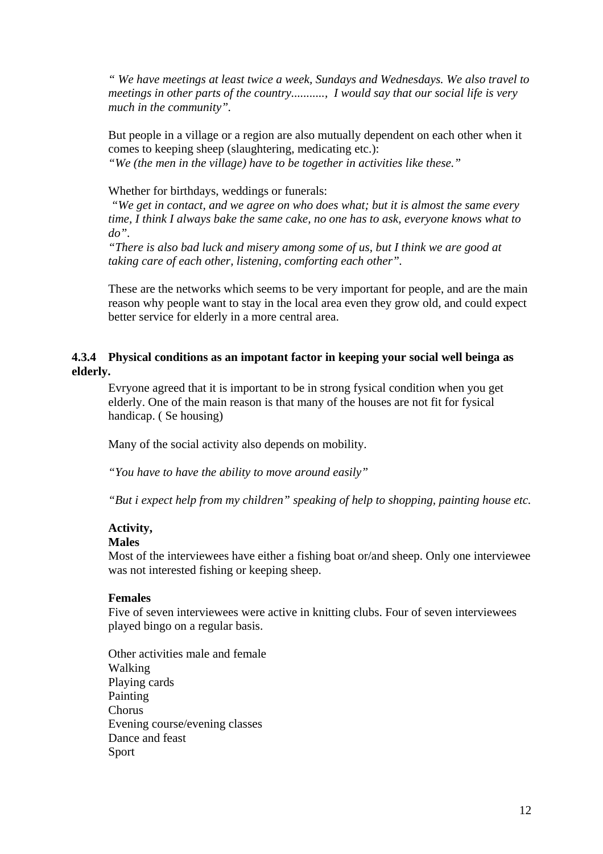<span id="page-11-0"></span>*" We have meetings at least twice a week, Sundays and Wednesdays. We also travel to meetings in other parts of the country..........., I would say that our social life is very much in the community".* 

But people in a village or a region are also mutually dependent on each other when it comes to keeping sheep (slaughtering, medicating etc.): *"We (the men in the village) have to be together in activities like these."* 

#### Whether for birthdays, weddings or funerals:

*"We get in contact, and we agree on who does what; but it is almost the same every time, I think I always bake the same cake, no one has to ask, everyone knows what to do".* 

*"There is also bad luck and misery among some of us, but I think we are good at taking care of each other, listening, comforting each other".* 

These are the networks which seems to be very important for people, and are the main reason why people want to stay in the local area even they grow old, and could expect better service for elderly in a more central area.

#### **4.3.4 Physical conditions as an impotant factor in keeping your social well beinga as elderly.**

Evryone agreed that it is important to be in strong fysical condition when you get elderly. One of the main reason is that many of the houses are not fit for fysical handicap. ( Se housing)

Many of the social activity also depends on mobility.

*"You have to have the ability to move around easily"* 

*"But i expect help from my children" speaking of help to shopping, painting house etc.*

#### **Activity,**

#### **Males**

Most of the interviewees have either a fishing boat or/and sheep. Only one interviewee was not interested fishing or keeping sheep.

#### **Females**

Five of seven interviewees were active in knitting clubs. Four of seven interviewees played bingo on a regular basis.

Other activities male and female Walking Playing cards Painting Chorus Evening course/evening classes Dance and feast Sport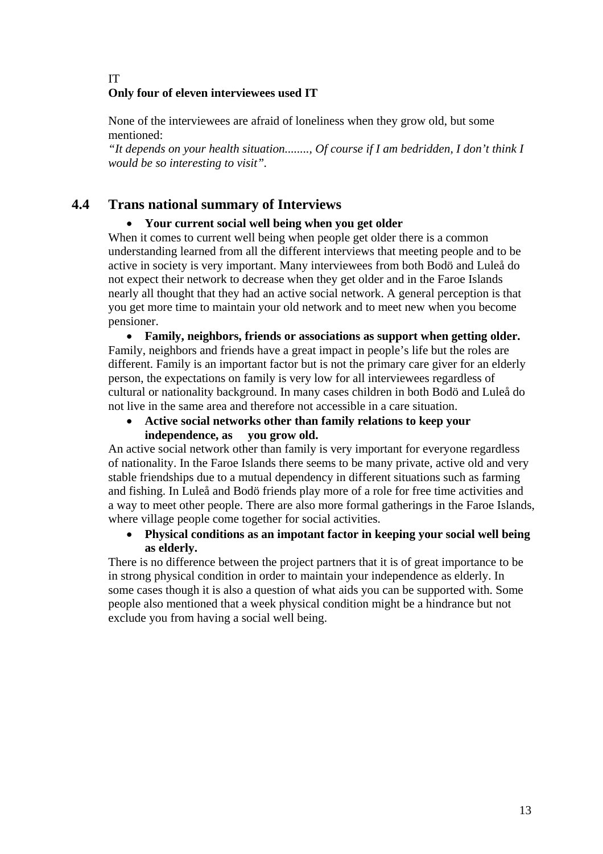#### <span id="page-12-0"></span>IT **Only four of eleven interviewees used IT**

None of the interviewees are afraid of loneliness when they grow old, but some mentioned:

*"It depends on your health situation........, Of course if I am bedridden, I don't think I would be so interesting to visit".* 

## **4.4 Trans national summary of Interviews**

#### • **Your current social well being when you get older**

When it comes to current well being when people get older there is a common understanding learned from all the different interviews that meeting people and to be active in society is very important. Many interviewees from both Bodö and Luleå do not expect their network to decrease when they get older and in the Faroe Islands nearly all thought that they had an active social network. A general perception is that you get more time to maintain your old network and to meet new when you become pensioner.

• **Family, neighbors, friends or associations as support when getting older.**  Family, neighbors and friends have a great impact in people's life but the roles are different. Family is an important factor but is not the primary care giver for an elderly person, the expectations on family is very low for all interviewees regardless of cultural or nationality background. In many cases children in both Bodö and Luleå do not live in the same area and therefore not accessible in a care situation.

• **Active social networks other than family relations to keep your independence, as you grow old.** 

An active social network other than family is very important for everyone regardless of nationality. In the Faroe Islands there seems to be many private, active old and very stable friendships due to a mutual dependency in different situations such as farming and fishing. In Luleå and Bodö friends play more of a role for free time activities and a way to meet other people. There are also more formal gatherings in the Faroe Islands, where village people come together for social activities.

• **Physical conditions as an impotant factor in keeping your social well being as elderly.** 

There is no difference between the project partners that it is of great importance to be in strong physical condition in order to maintain your independence as elderly. In some cases though it is also a question of what aids you can be supported with. Some people also mentioned that a week physical condition might be a hindrance but not exclude you from having a social well being.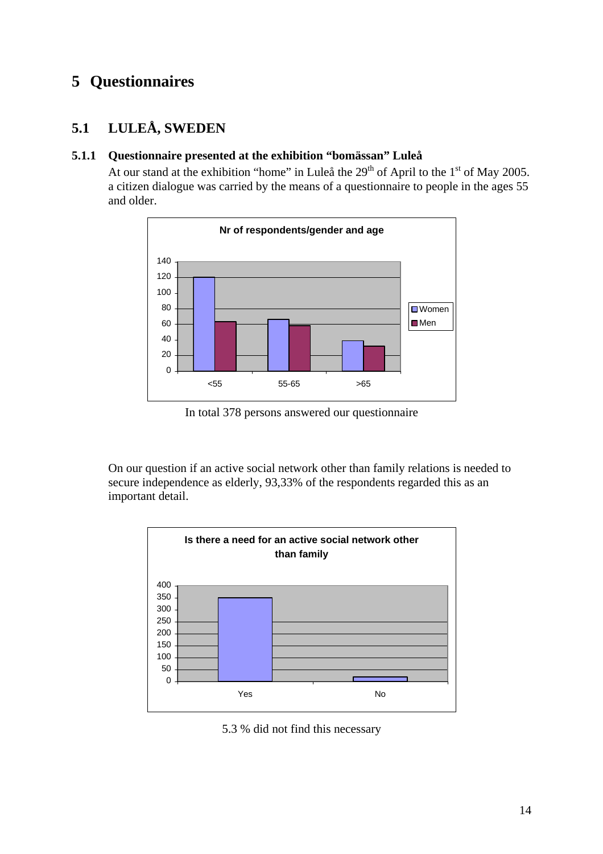## <span id="page-13-0"></span>**5 Questionnaires**

## **5.1 LULEÅ, SWEDEN**

#### **5.1.1 Questionnaire presented at the exhibition "bomässan" Luleå**

At our stand at the exhibition "home" in Luleå the  $29<sup>th</sup>$  of April to the  $1<sup>st</sup>$  of May 2005. a citizen dialogue was carried by the means of a questionnaire to people in the ages 55 and older.



In total 378 persons answered our questionnaire

On our question if an active social network other than family relations is needed to secure independence as elderly, 93,33% of the respondents regarded this as an important detail.



5.3 % did not find this necessary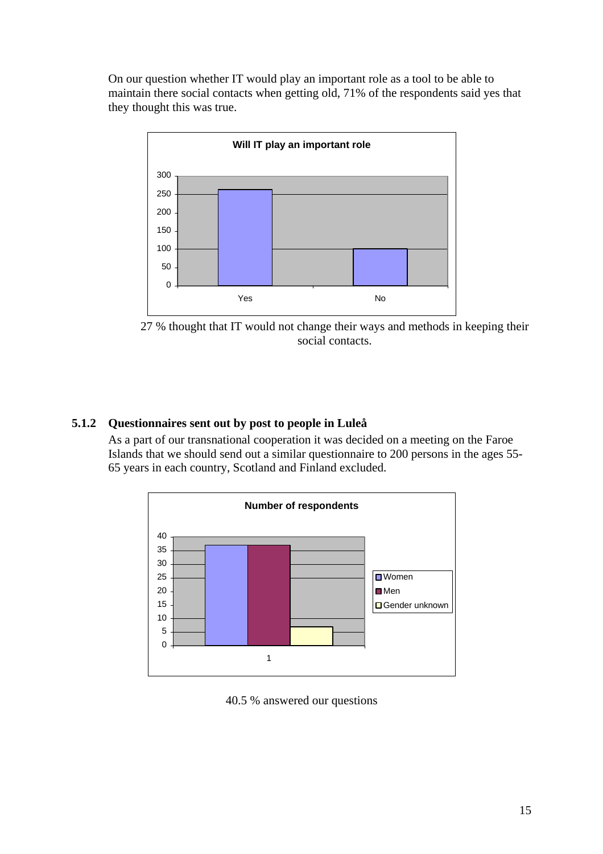<span id="page-14-0"></span>On our question whether IT would play an important role as a tool to be able to maintain there social contacts when getting old, 71% of the respondents said yes that they thought this was true.



27 % thought that IT would not change their ways and methods in keeping their social contacts.

#### **5.1.2 Questionnaires sent out by post to people in Luleå**

As a part of our transnational cooperation it was decided on a meeting on the Faroe Islands that we should send out a similar questionnaire to 200 persons in the ages 55- 65 years in each country, Scotland and Finland excluded.



40.5 % answered our questions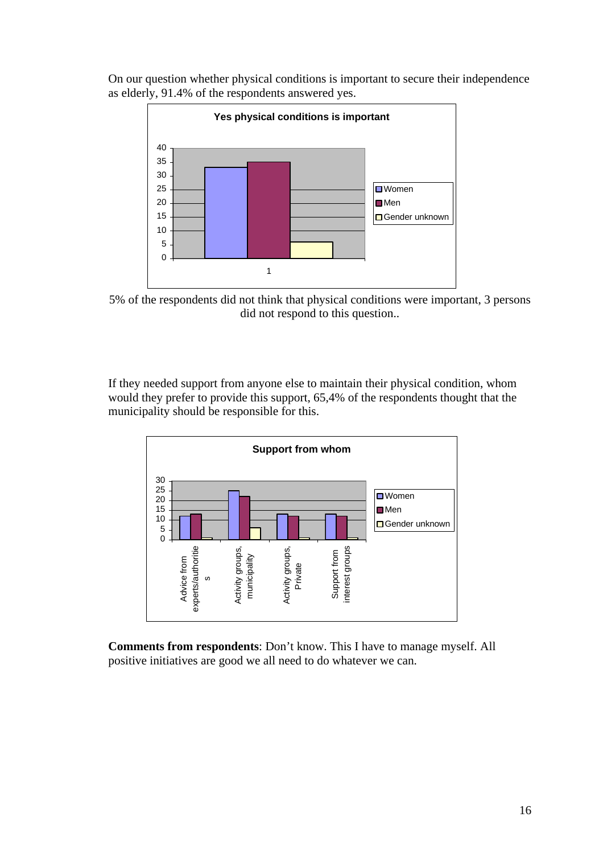On our question whether physical conditions is important to secure their independence as elderly, 91.4% of the respondents answered yes.



5% of the respondents did not think that physical conditions were important, 3 persons did not respond to this question..

If they needed support from anyone else to maintain their physical condition, whom would they prefer to provide this support, 65,4% of the respondents thought that the municipality should be responsible for this.



**Comments from respondents**: Don't know. This I have to manage myself. All positive initiatives are good we all need to do whatever we can.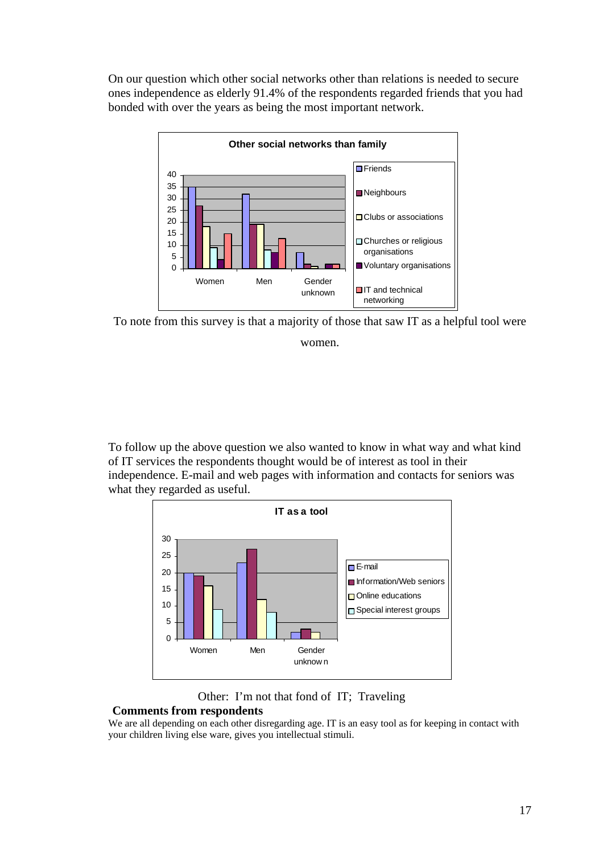On our question which other social networks other than relations is needed to secure ones independence as elderly 91.4% of the respondents regarded friends that you had bonded with over the years as being the most important network.



To note from this survey is that a majority of those that saw IT as a helpful tool were women.

To follow up the above question we also wanted to know in what way and what kind of IT services the respondents thought would be of interest as tool in their independence. E-mail and web pages with information and contacts for seniors was what they regarded as useful.



#### Other: I'm not that fond of IT; Traveling

#### **Comments from respondents**

We are all depending on each other disregarding age. IT is an easy tool as for keeping in contact with your children living else ware, gives you intellectual stimuli.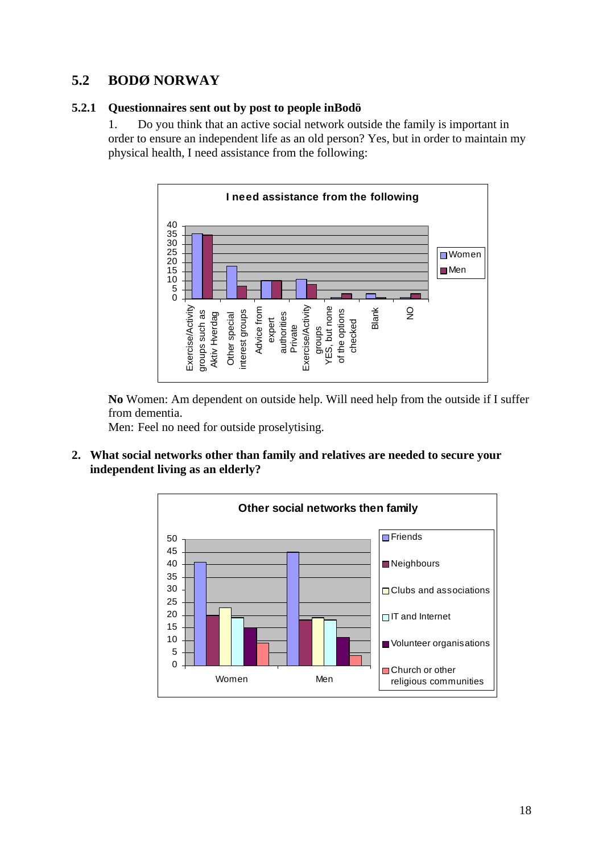## <span id="page-17-0"></span>**5.2 BODØ NORWAY**

#### **5.2.1 Questionnaires sent out by post to people inBodö**

1. Do you think that an active social network outside the family is important in order to ensure an independent life as an old person? Yes, but in order to maintain my physical health, I need assistance from the following:



**No** Women: Am dependent on outside help. Will need help from the outside if I suffer from dementia.

Men: Feel no need for outside proselytising.

**2. What social networks other than family and relatives are needed to secure your independent living as an elderly?** 

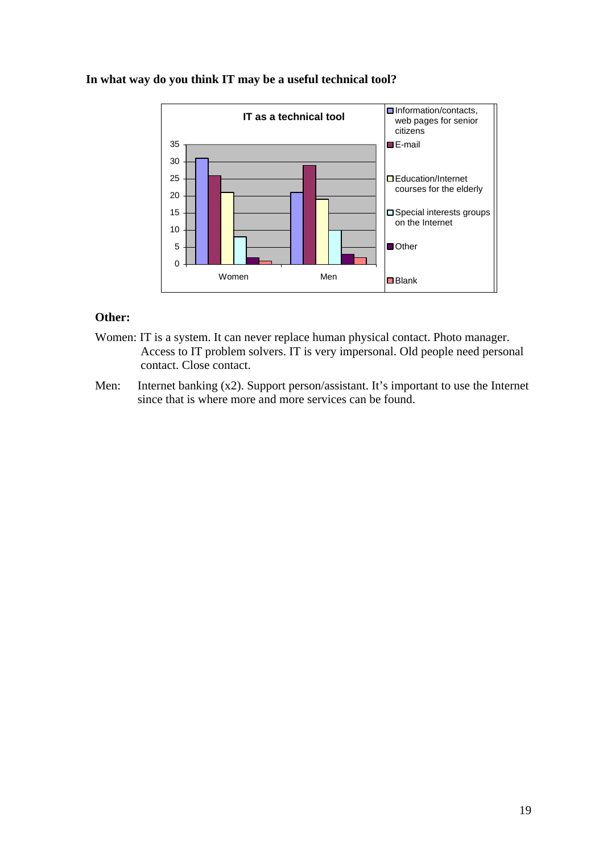

#### **In what way do you think IT may be a useful technical tool?**

#### **Other:**

- Women: IT is a system. It can never replace human physical contact. Photo manager. Access to IT problem solvers. IT is very impersonal. Old people need personal contact. Close contact.
- Men: Internet banking (x2). Support person/assistant. It's important to use the Internet since that is where more and more services can be found.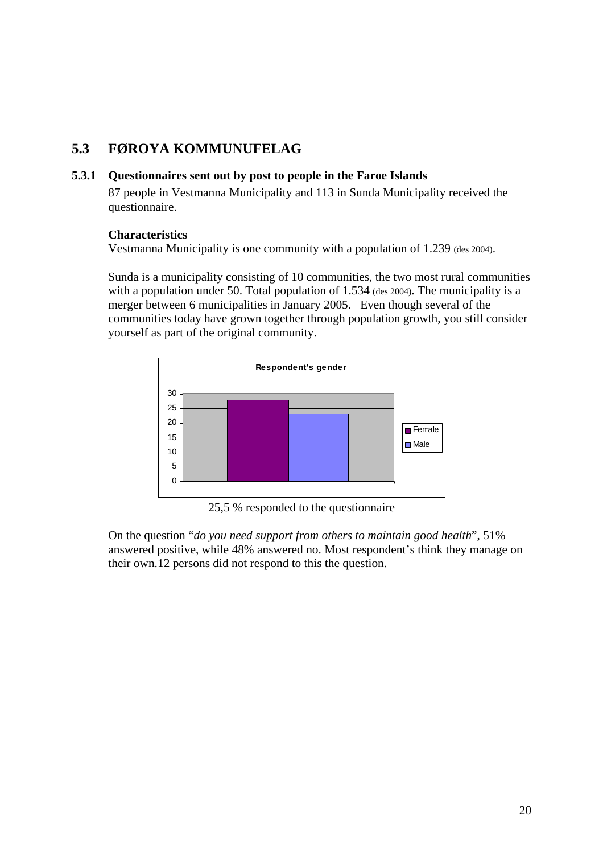## <span id="page-19-0"></span>**5.3 FØROYA KOMMUNUFELAG**

#### **5.3.1 Questionnaires sent out by post to people in the Faroe Islands**

87 people in Vestmanna Municipality and 113 in Sunda Municipality received the questionnaire.

#### **Characteristics**

Vestmanna Municipality is one community with a population of 1.239 (des 2004).

Sunda is a municipality consisting of 10 communities, the two most rural communities with a population under 50. Total population of 1.534 (des 2004). The municipality is a merger between 6 municipalities in January 2005. Even though several of the communities today have grown together through population growth, you still consider yourself as part of the original community.



25,5 % responded to the questionnaire

On the question "*do you need support from others to maintain good health*", 51% answered positive, while 48% answered no. Most respondent's think they manage on their own.12 persons did not respond to this the question.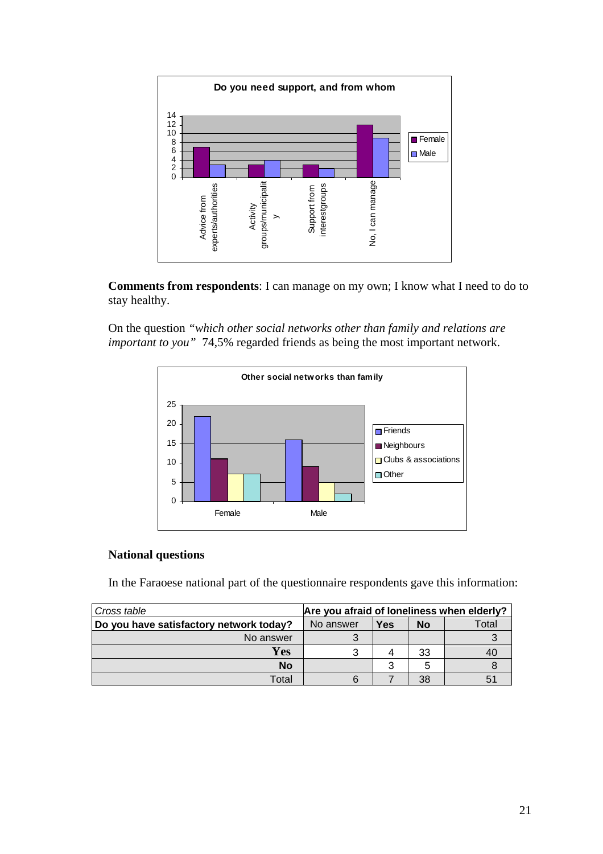

**Comments from respondents**: I can manage on my own; I know what I need to do to stay healthy.

On the question *"which other social networks other than family and relations are important to you"* 74,5% regarded friends as being the most important network.



#### **National questions**

In the Faraoese national part of the questionnaire respondents gave this information:

| Cross table                             | Are you afraid of loneliness when elderly? |     |           |       |
|-----------------------------------------|--------------------------------------------|-----|-----------|-------|
| Do you have satisfactory network today? | No answer                                  | Yes | <b>No</b> | Total |
| No answer                               |                                            |     |           |       |
| Yes                                     |                                            |     | 33        |       |
| <b>No</b>                               |                                            | າ   | 5         |       |
| Total                                   |                                            |     | 38        |       |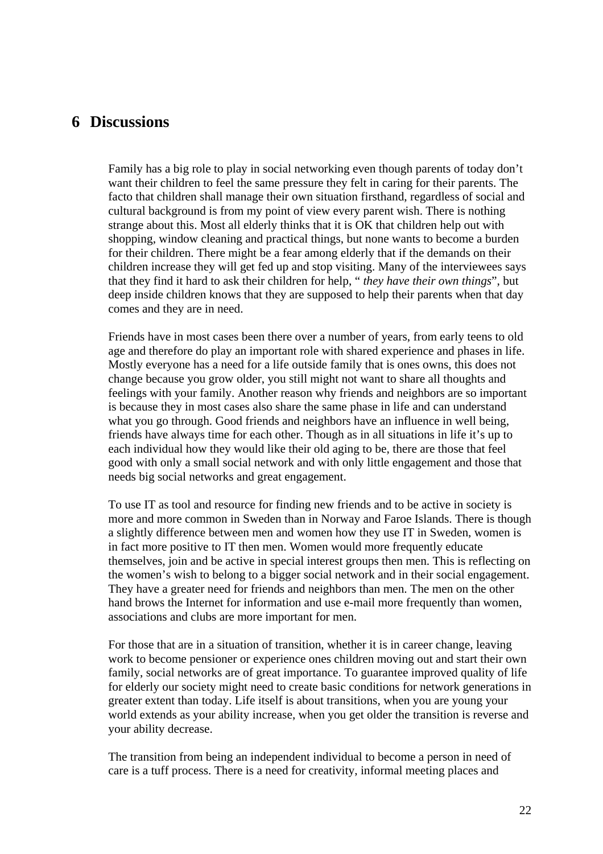## <span id="page-21-0"></span>**6 Discussions**

Family has a big role to play in social networking even though parents of today don't want their children to feel the same pressure they felt in caring for their parents. The facto that children shall manage their own situation firsthand, regardless of social and cultural background is from my point of view every parent wish. There is nothing strange about this. Most all elderly thinks that it is OK that children help out with shopping, window cleaning and practical things, but none wants to become a burden for their children. There might be a fear among elderly that if the demands on their children increase they will get fed up and stop visiting. Many of the interviewees says that they find it hard to ask their children for help, " *they have their own things*", but deep inside children knows that they are supposed to help their parents when that day comes and they are in need.

Friends have in most cases been there over a number of years, from early teens to old age and therefore do play an important role with shared experience and phases in life. Mostly everyone has a need for a life outside family that is ones owns, this does not change because you grow older, you still might not want to share all thoughts and feelings with your family. Another reason why friends and neighbors are so important is because they in most cases also share the same phase in life and can understand what you go through. Good friends and neighbors have an influence in well being, friends have always time for each other. Though as in all situations in life it's up to each individual how they would like their old aging to be, there are those that feel good with only a small social network and with only little engagement and those that needs big social networks and great engagement.

To use IT as tool and resource for finding new friends and to be active in society is more and more common in Sweden than in Norway and Faroe Islands. There is though a slightly difference between men and women how they use IT in Sweden, women is in fact more positive to IT then men. Women would more frequently educate themselves, join and be active in special interest groups then men. This is reflecting on the women's wish to belong to a bigger social network and in their social engagement. They have a greater need for friends and neighbors than men. The men on the other hand brows the Internet for information and use e-mail more frequently than women, associations and clubs are more important for men.

For those that are in a situation of transition, whether it is in career change, leaving work to become pensioner or experience ones children moving out and start their own family, social networks are of great importance. To guarantee improved quality of life for elderly our society might need to create basic conditions for network generations in greater extent than today. Life itself is about transitions, when you are young your world extends as your ability increase, when you get older the transition is reverse and your ability decrease.

The transition from being an independent individual to become a person in need of care is a tuff process. There is a need for creativity, informal meeting places and